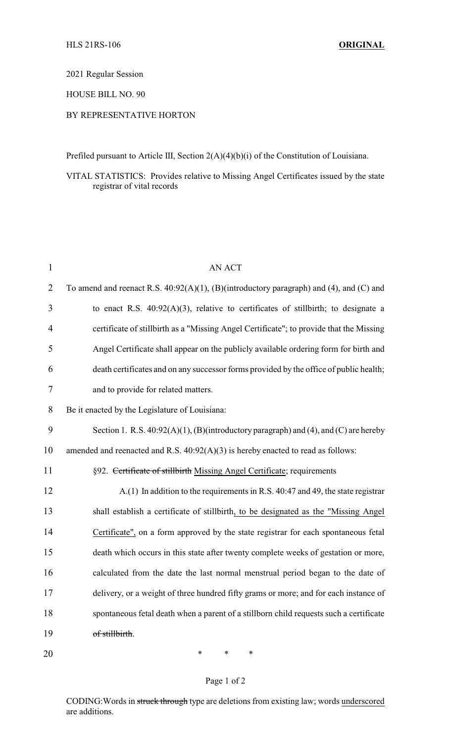2021 Regular Session

HOUSE BILL NO. 90

## BY REPRESENTATIVE HORTON

Prefiled pursuant to Article III, Section 2(A)(4)(b)(i) of the Constitution of Louisiana.

VITAL STATISTICS: Provides relative to Missing Angel Certificates issued by the state registrar of vital records

| $\mathbf{1}$   | <b>AN ACT</b>                                                                           |
|----------------|-----------------------------------------------------------------------------------------|
| $\overline{2}$ | To amend and reenact R.S. 40:92(A)(1), (B)(introductory paragraph) and (4), and (C) and |
| 3              | to enact R.S. $40:92(A)(3)$ , relative to certificates of stillbirth; to designate a    |
| 4              | certificate of stillbirth as a "Missing Angel Certificate"; to provide that the Missing |
| 5              | Angel Certificate shall appear on the publicly available ordering form for birth and    |
| 6              | death certificates and on any successor forms provided by the office of public health;  |
| 7              | and to provide for related matters.                                                     |
| 8              | Be it enacted by the Legislature of Louisiana:                                          |
| 9              | Section 1. R.S. $40:92(A)(1)$ , (B)(introductory paragraph) and (4), and (C) are hereby |
| 10             | amended and reenacted and R.S. $40:92(A)(3)$ is hereby enacted to read as follows:      |
| 11             | §92. Certificate of stillbirth Missing Angel Certificate; requirements                  |
| 12             | A.(1) In addition to the requirements in R.S. 40:47 and 49, the state registrar         |
| 13             | shall establish a certificate of stillbirth, to be designated as the "Missing Angel     |
| 14             | Certificate", on a form approved by the state registrar for each spontaneous fetal      |
| 15             | death which occurs in this state after twenty complete weeks of gestation or more,      |
| 16             | calculated from the date the last normal menstrual period began to the date of          |
| 17             | delivery, or a weight of three hundred fifty grams or more; and for each instance of    |
| 18             | spontaneous fetal death when a parent of a stillborn child requests such a certificate  |
| 19             | of stillbirth.                                                                          |
|                |                                                                                         |

20 \* \* \*

## Page 1 of 2

CODING:Words in struck through type are deletions from existing law; words underscored are additions.